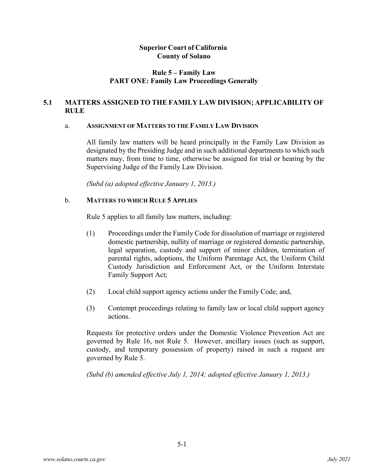### **Rule 5 – Family Law PART ONE: Family Law Proceedings Generally**

## **5.1 MATTERS ASSIGNED TO THE FAMILY LAW DIVISION; APPLICABILITY OF RULE**

### a. **ASSIGNMENT OF MATTERS TO THE FAMILY LAW DIVISION**

All family law matters will be heard principally in the Family Law Division as designated by the Presiding Judge and in such additional departments to which such matters may, from time to time, otherwise be assigned for trial or hearing by the Supervising Judge of the Family Law Division.

*(Subd (a) adopted effective January 1, 2013.)*

### b. **MATTERS TO WHICH RULE 5 APPLIES**

Rule 5 applies to all family law matters, including:

- (1) Proceedings under the Family Code for dissolution of marriage or registered domestic partnership, nullity of marriage or registered domestic partnership, legal separation, custody and support of minor children, termination of parental rights, adoptions, the Uniform Parentage Act, the Uniform Child Custody Jurisdiction and Enforcement Act, or the Uniform Interstate Family Support Act;
- (2) Local child support agency actions under the Family Code; and,
- (3) Contempt proceedings relating to family law or local child support agency actions.

Requests for protective orders under the Domestic Violence Prevention Act are governed by Rule 16, not Rule 5. However, ancillary issues (such as support, custody, and temporary possession of property) raised in such a request are governed by Rule 5.

*(Subd (b) amended effective July 1, 2014; adopted effective January 1, 2013.)*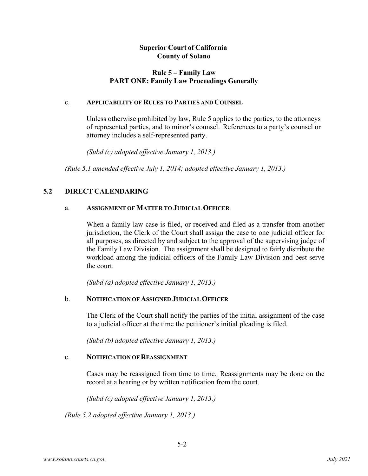## **Rule 5 – Family Law PART ONE: Family Law Proceedings Generally**

### c. **APPLICABILITY OF RULES TO PARTIES AND COUNSEL**

Unless otherwise prohibited by law, Rule 5 applies to the parties, to the attorneys of represented parties, and to minor's counsel. References to a party's counsel or attorney includes a self-represented party.

*(Subd (c) adopted effective January 1, 2013.)*

*(Rule 5.1 amended effective July 1, 2014; adopted effective January 1, 2013.)*

### **5.2 DIRECT CALENDARING**

### a. **ASSIGNMENT OF MATTER TO JUDICIAL OFFICER**

When a family law case is filed, or received and filed as a transfer from another jurisdiction, the Clerk of the Court shall assign the case to one judicial officer for all purposes, as directed by and subject to the approval of the supervising judge of the Family Law Division. The assignment shall be designed to fairly distribute the workload among the judicial officers of the Family Law Division and best serve the court.

*(Subd (a) adopted effective January 1, 2013.)*

### b. **NOTIFICATION OF ASSIGNED JUDICIAL OFFICER**

The Clerk of the Court shall notify the parties of the initial assignment of the case to a judicial officer at the time the petitioner's initial pleading is filed.

*(Subd (b) adopted effective January 1, 2013.)*

#### c. **NOTIFICATION OF REASSIGNMENT**

Cases may be reassigned from time to time. Reassignments may be done on the record at a hearing or by written notification from the court.

*(Subd (c) adopted effective January 1, 2013.)* 

*(Rule 5.2 adopted effective January 1, 2013.)*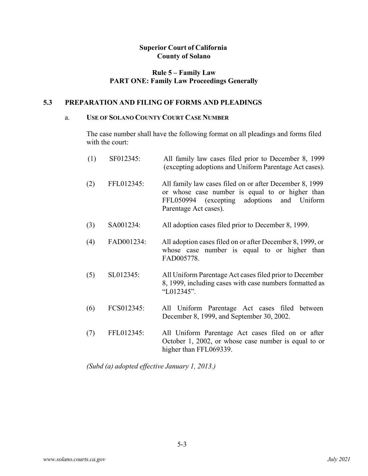# **Rule 5 – Family Law PART ONE: Family Law Proceedings Generally**

### **5.3 PREPARATION AND FILING OF FORMS AND PLEADINGS**

### a. **USE OF SOLANO COUNTY COURT CASE NUMBER**

The case number shall have the following format on all pleadings and forms filed with the court:

| (1) | SF012345:  | All family law cases filed prior to December 8, 1999<br>(excepting adoptions and Uniform Parentage Act cases).                                                                       |
|-----|------------|--------------------------------------------------------------------------------------------------------------------------------------------------------------------------------------|
| (2) | FFL012345: | All family law cases filed on or after December 8, 1999<br>or whose case number is equal to or higher than<br>FFL050994 (excepting adoptions<br>and Uniform<br>Parentage Act cases). |
| (3) | SA001234:  | All adoption cases filed prior to December 8, 1999.                                                                                                                                  |
| (4) | FAD001234: | All adoption cases filed on or after December 8, 1999, or<br>whose case number is equal to or higher than<br>FAD005778.                                                              |
| (5) | SL012345:  | All Uniform Parentage Act cases filed prior to December<br>8, 1999, including cases with case numbers formatted as<br>"L012345".                                                     |
| (6) | FCS012345: | All Uniform Parentage Act cases filed between<br>December 8, 1999, and September 30, 2002.                                                                                           |
| (7) | FFL012345: | All Uniform Parentage Act cases filed on or after<br>October 1, 2002, or whose case number is equal to or<br>higher than FFL069339.                                                  |

*(Subd (a) adopted effective January 1, 2013.)*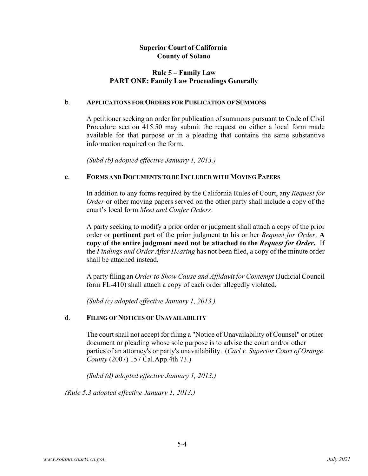## **Rule 5 – Family Law PART ONE: Family Law Proceedings Generally**

### b. **APPLICATIONS FOR ORDERS FOR PUBLICATION OF SUMMONS**

A petitioner seeking an order for publication of summons pursuant to Code of Civil Procedure section 415.50 may submit the request on either a local form made available for that purpose or in a pleading that contains the same substantive information required on the form.

*(Subd (b) adopted effective January 1, 2013.)*

### c. **FORMS AND DOCUMENTS TO BE INCLUDED WITH MOVING PAPERS**

In addition to any forms required by the California Rules of Court, any *Request for Order* or other moving papers served on the other party shall include a copy of the court's local form *Meet and Confer Orders*.

A party seeking to modify a prior order or judgment shall attach a copy of the prior order or **pertinent** part of the prior judgment to his or her *Request for Order*. **A copy of the entire judgment need not be attached to the** *Request for Order***.** If the *Findings and Order After Hearing* has not been filed, a copy of the minute order shall be attached instead.

A party filing an *Order to Show Cause and Affidavit for Contempt* (Judicial Council form FL-410) shall attach a copy of each order allegedly violated.

*(Subd (c) adopted effective January 1, 2013.)*

### d. **FILING OF NOTICES OF UNAVAILABILITY**

The court shall not accept for filing a "Notice of Unavailability of Counsel" or other document or pleading whose sole purpose is to advise the court and/or other parties of an attorney's or party's unavailability. (*Carl v. Superior Court of Orange County* (2007) 157 Cal.App.4th 73.)

*(Subd (d) adopted effective January 1, 2013.)*

*(Rule 5.3 adopted effective January 1, 2013.)*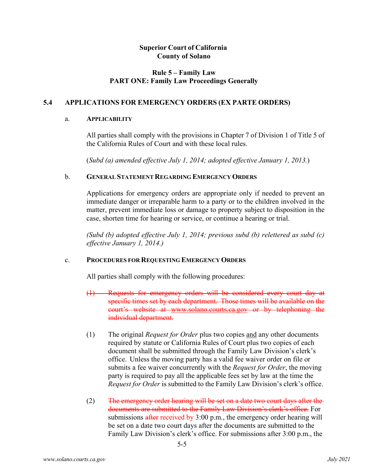# **Rule 5 – Family Law PART ONE: Family Law Proceedings Generally**

# **5.4 APPLICATIONS FOR EMERGENCY ORDERS (EX PARTE ORDERS)**

### a. **APPLICABILITY**

All parties shall comply with the provisions in Chapter 7 of Division 1 of Title 5 of the California Rules of Court and with these local rules.

(*Subd (a) amended effective July 1, 2014; adopted effective January 1, 2013.*)

### b. **GENERAL STATEMENT REGARDING EMERGENCYORDERS**

Applications for emergency orders are appropriate only if needed to prevent an immediate danger or irreparable harm to a party or to the children involved in the matter, prevent immediate loss or damage to property subject to disposition in the case, shorten time for hearing or service, or continue a hearing or trial.

*(Subd (b) adopted effective July 1, 2014; previous subd (b) relettered as subd (c) effective January 1, 2014.)*

# c. **PROCEDURES FOR REQUESTING EMERGENCY ORDERS**

All parties shall comply with the following procedures:

- (1) Requests for emergency orders will be considered every court day at specific times set by each department. Those times will be available on the court's website at [www.solano.courts.ca.gov](http://www.solano.courts.ca.gov/) or by telephoning the individual department.
- (1) The original *Request for Order* plus two copies and any other documents required by statute or California Rules of Court plus two copies of each document shall be submitted through the Family Law Division's clerk's office. Unless the moving party has a valid fee waiver order on file or submits a fee waiver concurrently with the *Request for Order*, the moving party is required to pay all the applicable fees set by law at the time the *Request for Order* is submitted to the Family Law Division's clerk's office.
- (2) The emergency order hearing will be set on a date two court days after the documents are submitted to the Family Law Division's clerk's office. For submissions after received by 3:00 p.m., the emergency order hearing will be set on a date two court days after the documents are submitted to the Family Law Division's clerk's office. For submissions after 3:00 p.m., the